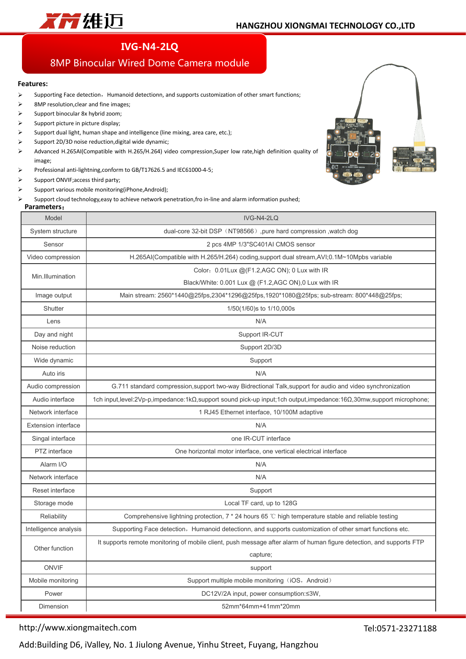

## **IVG-N4-2LQ**

## 8MP Binocular Wired Dome Camera module

#### **Features:**

- $\triangleright$  Supporting Face detection, Humanoid detectionn, and supports customization of other smart functions;
- 8MP resolution,clear and fine images;
- $\triangleright$  Support binocular 8x hybrid zoom;
- $\triangleright$  Support picture in picture display;
- $\triangleright$  Support dual light, human shape and intelligence (line mixing, area care, etc.);
- $\triangleright$  Support 2D/3D noise reduction, digital wide dynamic;
- Advanced H.265AI(Compatible with H.265/H.264) video compression,Super low rate,high definition quality of image;
- Professional anti-lightning,conform to GB/T17626.5 and IEC61000-4-5;
- $\triangleright$  Support ONVIF; access third party;
- $\triangleright$  Support various mobile monitoring(iPhone,Android);
- Support cloud technology,easy to achieve network penetration,fro in-line and alarm information pushed;

#### **Parameters**:



| rai allielei S             |                                                                                                                                     |  |  |
|----------------------------|-------------------------------------------------------------------------------------------------------------------------------------|--|--|
| Model                      | IVG-N4-2LQ                                                                                                                          |  |  |
| System structure           | dual-core 32-bit DSP (NT98566), pure hard compression, watch dog                                                                    |  |  |
| Sensor                     | 2 pcs 4MP 1/3"SC401AI CMOS sensor                                                                                                   |  |  |
| Video compression          | H.265AI(Compatible with H.265/H.264) coding, support dual stream, AVI;0.1M~10Mpbs variable                                          |  |  |
| Min.Illumination           | Color: 0.01Lux @(F1.2,AGC ON); 0 Lux with IR                                                                                        |  |  |
|                            | Black/White: 0.001 Lux @ (F1.2, AGC ON), 0 Lux with IR                                                                              |  |  |
| Image output               | Main stream: 2560*1440@25fps,2304*1296@25fps,1920*1080@25fps; sub-stream: 800*448@25fps;                                            |  |  |
| Shutter                    | 1/50(1/60)s to 1/10,000s                                                                                                            |  |  |
| Lens                       | N/A                                                                                                                                 |  |  |
| Day and night              | Support IR-CUT                                                                                                                      |  |  |
| Noise reduction            | Support 2D/3D                                                                                                                       |  |  |
| Wide dynamic               | Support                                                                                                                             |  |  |
| Auto iris                  | N/A                                                                                                                                 |  |  |
| Audio compression          | G.711 standard compression, support two-way Bidrectional Talk, support for audio and video synchronization                          |  |  |
| Audio interface            | 1ch input,level:2Vp-p,impedance:1k $\Omega$ ,support sound pick-up input;1ch output,impedance:16 $\Omega$ ,30mw,support microphone; |  |  |
| Network interface          | 1 RJ45 Ethernet interface, 10/100M adaptive                                                                                         |  |  |
| <b>Extension interface</b> | N/A                                                                                                                                 |  |  |
| Singal interface           | one IR-CUT interface                                                                                                                |  |  |
| PTZ interface              | One horizontal motor interface, one vertical electrical interface                                                                   |  |  |
| Alarm I/O                  | N/A                                                                                                                                 |  |  |
| Network interface          | N/A                                                                                                                                 |  |  |
| Reset interface            | Support                                                                                                                             |  |  |
| Storage mode               | Local TF card, up to 128G                                                                                                           |  |  |
| Reliability                | Comprehensive lightning protection, $7 * 24$ hours 65 °C high temperature stable and reliable testing                               |  |  |
| Intelligence analysis      | Supporting Face detection, Humanoid detectionn, and supports customization of other smart functions etc.                            |  |  |
|                            | It supports remote monitoring of mobile client, push message after alarm of human figure detection, and supports FTP                |  |  |
| Other function             | capture;                                                                                                                            |  |  |
| <b>ONVIF</b>               | support                                                                                                                             |  |  |
| Mobile monitoring          | Support multiple mobile monitoring (iOS, Android)                                                                                   |  |  |
| Power                      | DC12V/2A input, power consumption:≤3W,                                                                                              |  |  |
| Dimension                  | 52mm*64mm+41mm*20mm                                                                                                                 |  |  |

### http://www.xiongmaitech.com

Tel:0571-23271188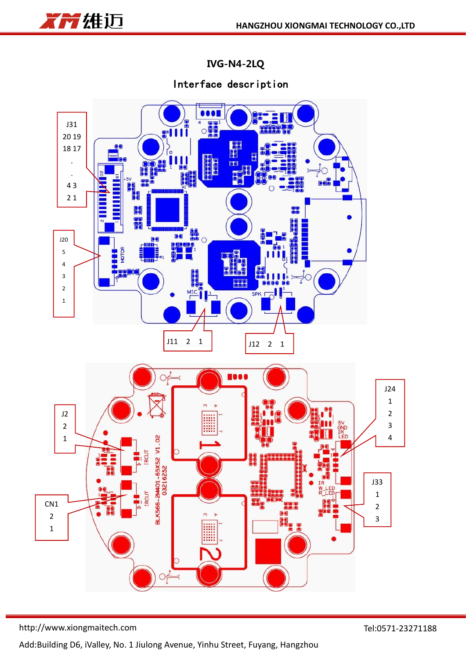

**IVG-N4-2LQ**

# Interface description



http://www.xiongmaitech.com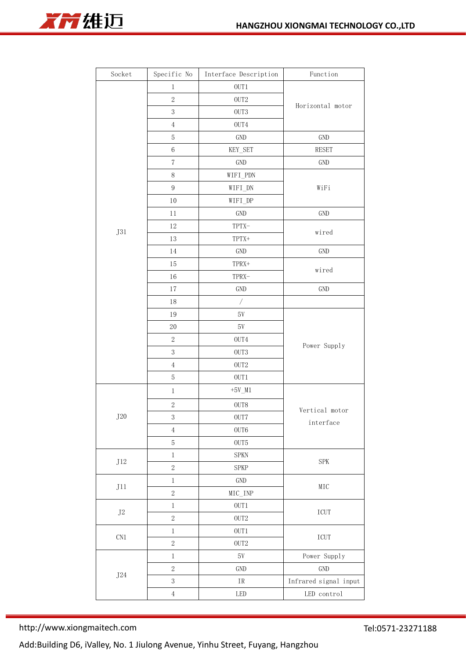



| Socket             | Specific No      | Interface Description    | Function                              |
|--------------------|------------------|--------------------------|---------------------------------------|
|                    | $\,1$            | OUT1                     |                                       |
|                    | $\sqrt{2}$       | OUT2                     |                                       |
|                    | $\sqrt{3}$       | OUT3                     | Horizontal motor                      |
|                    | $\,4\,$          | OUT4                     |                                       |
|                    | $\mathbf 5$      | $\operatorname{GND}$     | $\operatorname{GND}$                  |
|                    | $\,6\,$          | KEY_SET                  | <b>RESET</b>                          |
|                    | $\sqrt{ }$       | $\operatorname{GND}$     | $\operatorname{GND}$                  |
|                    | $8\,$            | WIFI_PDN                 | WiFi                                  |
|                    | $\boldsymbol{9}$ | WIFI_DN                  |                                       |
|                    | $10\,$           | WIFI_DP                  |                                       |
|                    | $11\,$           | $\operatorname{GND}$     | $\operatorname{GND}$                  |
|                    | $12\,$           | TPTX-                    | wired                                 |
| <b>J31</b>         | 13               | TPTX+                    |                                       |
|                    | $14\,$           | $\operatorname{GND}$     | GND                                   |
|                    | $15\,$           | TPRX+                    | wired                                 |
|                    | $16\,$           | TPRX-                    |                                       |
|                    | $17\,$           | $\operatorname{GND}$     | GND                                   |
|                    | $18\,$           | $\overline{\phantom{a}}$ |                                       |
|                    | $19\,$           | $5\mathrm{V}$            | Power Supply                          |
|                    | $20\,$           | $5\mathrm{V}$            |                                       |
|                    | $\sqrt{2}$       | ${\rm OUT4}$             |                                       |
|                    | $\sqrt{3}$       | OUT3                     |                                       |
|                    | $\,4$            | $0\mathrm{UT}2$          |                                       |
|                    | $\mathbf 5$      | $OUT1$                   |                                       |
|                    | $\,1$            | $+5V_M1$                 | Vertical motor<br>$\verb interface $  |
|                    | $\sqrt{2}$       | $0\mathrm{UT}8$          |                                       |
| $\rm J20$          | $\sqrt{3}$       | OUT7                     |                                       |
|                    | $\,4$            | OUT6                     |                                       |
|                    | $\mathbf 5$      | $0\mathrm{UT}5$          |                                       |
|                    | $\,1$            | ${\rm SPKN}$             |                                       |
| $\rm J12$          | $\,2$            | SPKP                     | ${\rm SPK}$                           |
|                    | $\,1$            | $\operatorname{GND}$     | $\rm{MIC}$                            |
| J11                | $\,2$            | $MIC$ <sub>INP</sub>     |                                       |
|                    | $\,1$            | $OUT1$                   | $\ensuremath{\textup{\textbf{ICUT}}}$ |
| $\rm J2$           | $\,2$            | $0\mathrm{UT}2$          |                                       |
|                    | $\,1$            | $OUT1$                   |                                       |
| $\mathop{\rm CNI}$ | $\,2$            | OUT2                     | $\ensuremath{\textup{\textbf{ICUT}}}$ |
|                    | $\,1$            | $5\mathrm{V}$            | Power Supply                          |
|                    | $\,2$            | GND                      | $\operatorname{GND}$                  |
| $\rm J24$          | $\sqrt{3}$       | $\mbox{IR}$              | Infrared signal input                 |
|                    | $\,4$            | LED                      | LED control                           |

http://www.xiongmaitech.com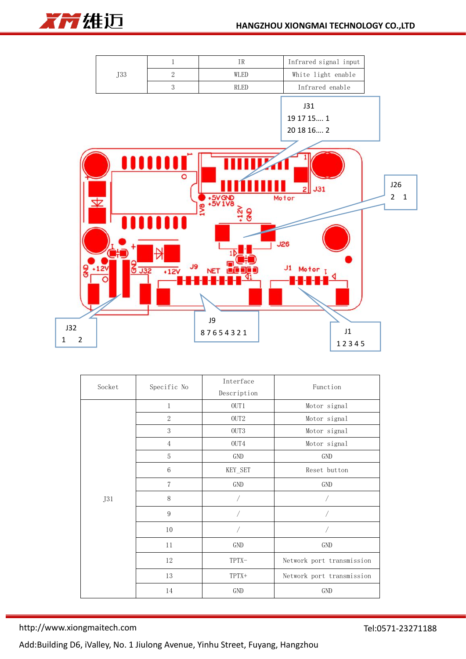



| Socket | Specific No    | Interface            | Function                  |
|--------|----------------|----------------------|---------------------------|
|        |                | Description          |                           |
|        | $\mathbf 1$    | OUT1                 | Motor signal              |
|        | $\sqrt{2}$     | OUT <sub>2</sub>     | Motor signal              |
|        | $\sqrt{3}$     | OUT <sub>3</sub>     | Motor signal              |
|        | $\overline{4}$ | OUT4                 | Motor signal              |
|        | $\mathbf 5$    | GND                  | GND                       |
|        | 6              | KEY_SET              | Reset button              |
|        | $\overline{7}$ | GND                  | GND                       |
| J31    | 8              |                      |                           |
|        | 9              |                      |                           |
|        | $10\,$         |                      |                           |
|        | $11\,$         | $\operatorname{GND}$ | GND                       |
|        | 12             | TPTX-                | Network port transmission |
|        | 13             | TPTX+                | Network port transmission |
|        | 14             | GND                  | GND                       |

http://www.xiongmaitech.com